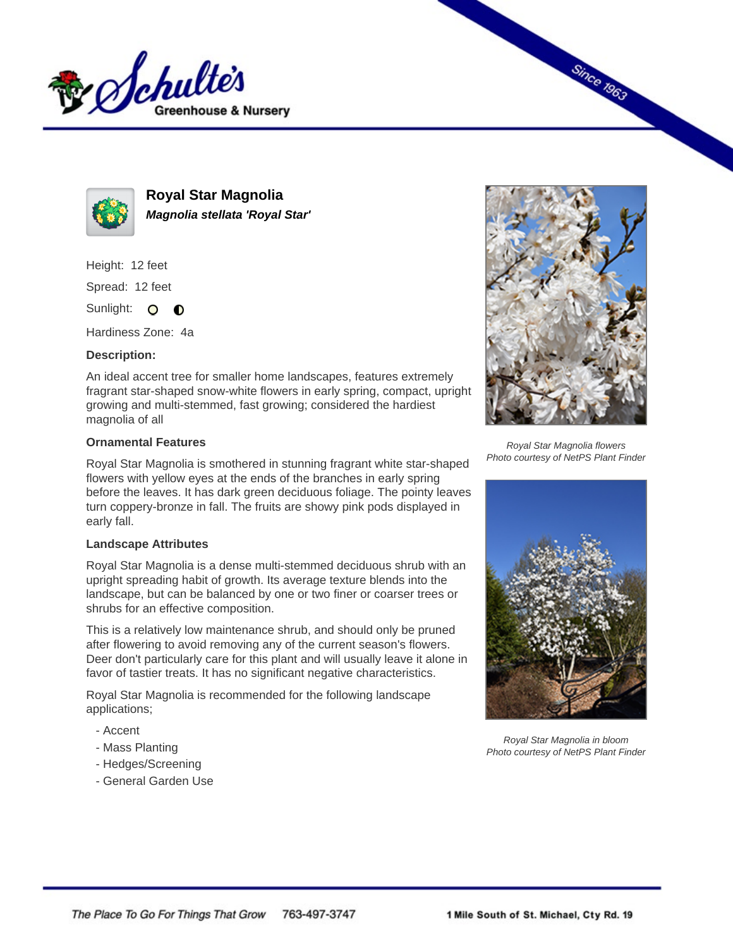



**Royal Star Magnolia Magnolia stellata 'Royal Star'**

Height: 12 feet

Spread: 12 feet

Sunlight: O  $\bullet$ 

Hardiness Zone: 4a

## **Description:**

An ideal accent tree for smaller home landscapes, features extremely fragrant star-shaped snow-white flowers in early spring, compact, upright growing and multi-stemmed, fast growing; considered the hardiest magnolia of all

## **Ornamental Features**

Royal Star Magnolia is smothered in stunning fragrant white star-shaped flowers with yellow eyes at the ends of the branches in early spring before the leaves. It has dark green deciduous foliage. The pointy leaves turn coppery-bronze in fall. The fruits are showy pink pods displayed in early fall.

## **Landscape Attributes**

Royal Star Magnolia is a dense multi-stemmed deciduous shrub with an upright spreading habit of growth. Its average texture blends into the landscape, but can be balanced by one or two finer or coarser trees or shrubs for an effective composition.

This is a relatively low maintenance shrub, and should only be pruned after flowering to avoid removing any of the current season's flowers. Deer don't particularly care for this plant and will usually leave it alone in favor of tastier treats. It has no significant negative characteristics.

Royal Star Magnolia is recommended for the following landscape applications;

- Accent
- Mass Planting
- Hedges/Screening
- General Garden Use



**Since 1963** 

Royal Star Magnolia flowers Photo courtesy of NetPS Plant Finder



Royal Star Magnolia in bloom Photo courtesy of NetPS Plant Finder